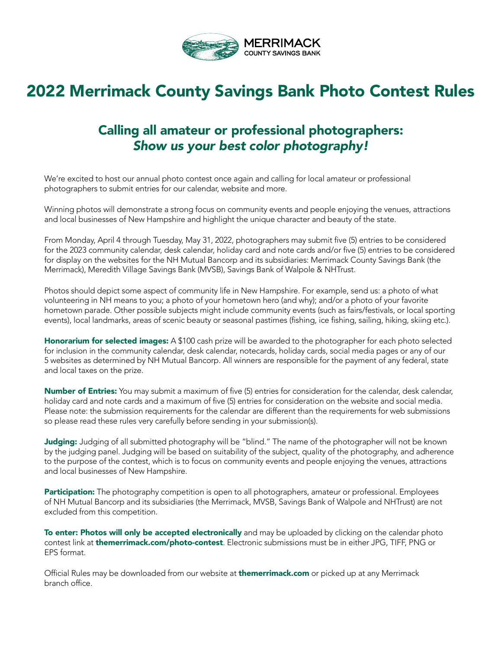

# 2022 Merrimack County Savings Bank Photo Contest Rules

# Calling all amateur or professional photographers: *Show us your best color photography!*

We're excited to host our annual photo contest once again and calling for local amateur or professional photographers to submit entries for our calendar, website and more.

Winning photos will demonstrate a strong focus on community events and people enjoying the venues, attractions and local businesses of New Hampshire and highlight the unique character and beauty of the state.

From Monday, April 4 through Tuesday, May 31, 2022, photographers may submit five (5) entries to be considered for the 2023 community calendar, desk calendar, holiday card and note cards and/or five (5) entries to be considered for display on the websites for the NH Mutual Bancorp and its subsidiaries: Merrimack County Savings Bank (the Merrimack), Meredith Village Savings Bank (MVSB), Savings Bank of Walpole & NHTrust.

Photos should depict some aspect of community life in New Hampshire. For example, send us: a photo of what volunteering in NH means to you; a photo of your hometown hero (and why); and/or a photo of your favorite hometown parade. Other possible subjects might include community events (such as fairs/festivals, or local sporting events), local landmarks, areas of scenic beauty or seasonal pastimes (fishing, ice fishing, sailing, hiking, skiing etc.).

Honorarium for selected images: A \$100 cash prize will be awarded to the photographer for each photo selected for inclusion in the community calendar, desk calendar, notecards, holiday cards, social media pages or any of our 5 websites as determined by NH Mutual Bancorp. All winners are responsible for the payment of any federal, state and local taxes on the prize.

Number of Entries: You may submit a maximum of five (5) entries for consideration for the calendar, desk calendar, holiday card and note cards and a maximum of five (5) entries for consideration on the website and social media. Please note: the submission requirements for the calendar are different than the requirements for web submissions so please read these rules very carefully before sending in your submission(s).

Judging: Judging of all submitted photography will be "blind." The name of the photographer will not be known by the judging panel. Judging will be based on suitability of the subject, quality of the photography, and adherence to the purpose of the contest, which is to focus on community events and people enjoying the venues, attractions and local businesses of New Hampshire.

Participation: The photography competition is open to all photographers, amateur or professional. Employees of NH Mutual Bancorp and its subsidiaries (the Merrimack, MVSB, Savings Bank of Walpole and NHTrust) are not excluded from this competition.

To enter: Photos will only be accepted electronically and may be uploaded by clicking on the calendar photo contest link at themerrimack.com/photo-contest. Electronic submissions must be in either JPG, TIFF, PNG or EPS format.

Official Rules may be downloaded from our website at **themerrimack.com** or picked up at any Merrimack branch office.